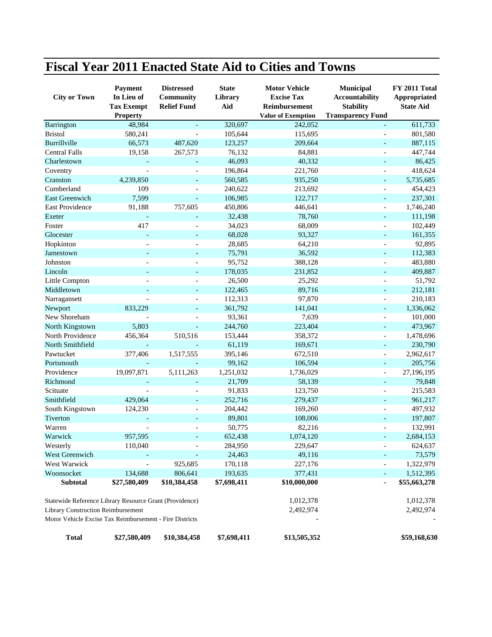## **Fiscal Year 2011 Enacted State Aid to Cities and Towns**

| <b>City or Town</b>                                     | <b>Payment</b><br>In Lieu of<br><b>Tax Exempt</b><br><b>Property</b> | <b>Distressed</b><br><b>Community</b><br><b>Relief Fund</b> | <b>State</b><br>Library<br>Aid | <b>Motor Vehicle</b><br><b>Excise Tax</b><br>Reimbursement<br><b>Value of Exemption</b> | Municipal<br><b>Accountability</b><br><b>Stability</b><br><b>Transparency Fund</b> | FY 2011 Total<br>Appropriated<br><b>State Aid</b> |
|---------------------------------------------------------|----------------------------------------------------------------------|-------------------------------------------------------------|--------------------------------|-----------------------------------------------------------------------------------------|------------------------------------------------------------------------------------|---------------------------------------------------|
| Barrington                                              | 48,984                                                               | $\overline{\phantom{a}}$                                    | 320,697                        | 242,052                                                                                 |                                                                                    | 611,733                                           |
| <b>Bristol</b>                                          | 580,241                                                              |                                                             | 105,644                        | 115,695                                                                                 |                                                                                    | 801,580                                           |
| Burrillville                                            | 66,573                                                               | 487,620                                                     | 123,257                        | 209,664                                                                                 |                                                                                    | 887,115                                           |
| <b>Central Falls</b>                                    | 19,158                                                               | 267,573                                                     | 76,132                         | 84,881                                                                                  |                                                                                    | 447,744                                           |
| Charlestown                                             |                                                                      |                                                             | 46,093                         | 40,332                                                                                  |                                                                                    | 86,425                                            |
| Coventry                                                |                                                                      |                                                             | 196,864                        | 221,760                                                                                 |                                                                                    | 418,624                                           |
| Cranston                                                | 4,239,850                                                            |                                                             | 560,585                        | 935,250                                                                                 | $\blacksquare$                                                                     | 5,735,685                                         |
| Cumberland                                              | 109                                                                  |                                                             | 240,622                        | 213,692                                                                                 |                                                                                    | 454,423                                           |
| <b>East Greenwich</b>                                   | 7,599                                                                |                                                             | 106,985                        | 122,717                                                                                 |                                                                                    | 237,301                                           |
| <b>East Providence</b>                                  | 91,188                                                               | 757,605                                                     | 450,806                        | 446,641                                                                                 |                                                                                    | 1,746,240                                         |
| Exeter                                                  |                                                                      |                                                             | 32,438                         | 78,760                                                                                  |                                                                                    | 111,198                                           |
| Foster                                                  | 417                                                                  |                                                             | 34,023                         | 68,009                                                                                  |                                                                                    | 102,449                                           |
| Glocester                                               |                                                                      |                                                             | 68,028                         | 93,327                                                                                  |                                                                                    | 161,355                                           |
| Hopkinton                                               |                                                                      |                                                             | 28,685                         | 64,210                                                                                  |                                                                                    | 92,895                                            |
| Jamestown                                               |                                                                      |                                                             | 75,791                         | 36,592                                                                                  |                                                                                    | 112,383                                           |
| Johnston                                                |                                                                      |                                                             | 95,752                         | 388,128                                                                                 |                                                                                    | 483,880                                           |
| Lincoln                                                 |                                                                      | $\overline{\phantom{0}}$                                    | 178,035                        | 231,852                                                                                 | $\blacksquare$                                                                     | 409,887                                           |
| Little Compton                                          |                                                                      |                                                             | 26,500                         | 25,292                                                                                  |                                                                                    | 51,792                                            |
| Middletown                                              |                                                                      |                                                             | 122,465                        | 89,716                                                                                  |                                                                                    | 212,181                                           |
| Narragansett                                            |                                                                      |                                                             | 112,313                        | 97,870                                                                                  |                                                                                    | 210,183                                           |
| Newport                                                 | 833,229                                                              |                                                             | 361,792                        | 141,041                                                                                 |                                                                                    | 1,336,062                                         |
| New Shoreham                                            |                                                                      |                                                             | 93,361                         | 7,639                                                                                   |                                                                                    | 101,000                                           |
| North Kingstown                                         | 5,803                                                                |                                                             | 244,760                        | 223,404                                                                                 |                                                                                    | 473,967                                           |
| North Providence                                        | 456,364                                                              | 510,516                                                     | 153,444                        | 358,372                                                                                 | L,                                                                                 | 1,478,696                                         |
| North Smithfield                                        |                                                                      |                                                             | 61,119                         | 169,671                                                                                 | $\overline{\phantom{a}}$                                                           | 230,790                                           |
| Pawtucket                                               | 377,406                                                              | 1,517,555                                                   | 395,146                        | 672,510                                                                                 |                                                                                    | 2,962,617                                         |
| Portsmouth                                              |                                                                      |                                                             | 99,162                         | 106,594                                                                                 | $\overline{\phantom{a}}$                                                           | 205,756                                           |
| Providence                                              | 19,097,871                                                           | 5,111,263                                                   | 1,251,032                      | 1,736,029                                                                               |                                                                                    | 27,196,195                                        |
| Richmond                                                |                                                                      |                                                             | 21,709                         | 58,139                                                                                  |                                                                                    | 79,848                                            |
| Scituate                                                |                                                                      |                                                             | 91,833                         | 123,750                                                                                 |                                                                                    | 215,583                                           |
| Smithfield                                              | 429,064                                                              |                                                             | 252,716                        | 279,437                                                                                 |                                                                                    | 961,217                                           |
| South Kingstown                                         | 124,230                                                              |                                                             | 204,442                        | 169,260                                                                                 |                                                                                    | 497,932                                           |
| Tiverton                                                |                                                                      |                                                             | 89,801                         | 108,006                                                                                 |                                                                                    | 197,807                                           |
| Warren                                                  |                                                                      |                                                             | 50,775                         | 82,216                                                                                  |                                                                                    | 132,991                                           |
| Warwick                                                 | 957,595                                                              |                                                             | 652,438                        | 1,074,120                                                                               |                                                                                    | 2,684,153                                         |
| Westerly                                                | 110,040                                                              |                                                             | 284,950                        | 229,647                                                                                 | $\overline{\phantom{a}}$                                                           | 624,637                                           |
| West Greenwich                                          |                                                                      |                                                             | 24,463                         | 49,116                                                                                  |                                                                                    | 73,579                                            |
| West Warwick                                            |                                                                      | 925,685                                                     | 170,118                        | 227,176                                                                                 |                                                                                    | 1,322,979                                         |
| Woonsocket                                              | 134,688                                                              | 806,641                                                     | 193,635                        | 377,431                                                                                 |                                                                                    | 1,512,395                                         |
| <b>Subtotal</b>                                         | \$27,580,409                                                         | \$10,384,458                                                | \$7,698,411                    | \$10,000,000                                                                            | $\blacksquare$                                                                     | \$55,663,278                                      |
| Statewide Reference Library Resource Grant (Providence) |                                                                      |                                                             |                                | 1,012,378                                                                               |                                                                                    | 1,012,378                                         |
| Library Construction Reimbursement                      |                                                                      |                                                             |                                | 2,492,974                                                                               |                                                                                    | 2,492,974                                         |
| Motor Vehicle Excise Tax Reimbursement - Fire Districts |                                                                      |                                                             |                                |                                                                                         |                                                                                    |                                                   |
| <b>Total</b>                                            | \$27,580,409                                                         | \$10,384,458                                                | \$7,698,411                    | \$13,505,352                                                                            |                                                                                    | \$59,168,630                                      |